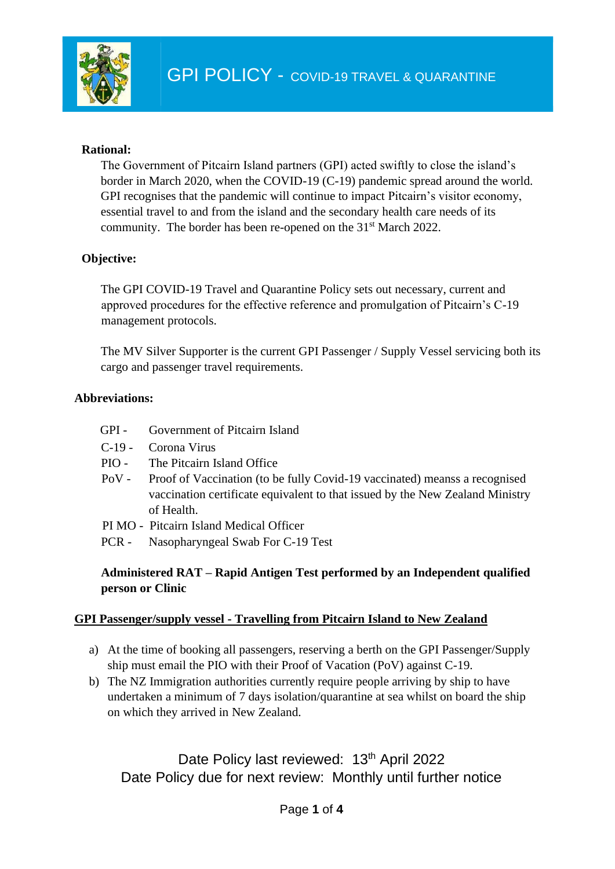

#### **Rational:**

The Government of Pitcairn Island partners (GPI) acted swiftly to close the island's border in March 2020, when the COVID-19 (C-19) pandemic spread around the world. GPI recognises that the pandemic will continue to impact Pitcairn's visitor economy, essential travel to and from the island and the secondary health care needs of its community. The border has been re-opened on the 31<sup>st</sup> March 2022.

## **Objective:**

The GPI COVID-19 Travel and Quarantine Policy sets out necessary, current and approved procedures for the effective reference and promulgation of Pitcairn's C-19 management protocols.

The MV Silver Supporter is the current GPI Passenger / Supply Vessel servicing both its cargo and passenger travel requirements.

#### **Abbreviations:**

- GPI Government of Pitcairn Island
- C-19 Corona Virus
- PIO The Pitcairn Island Office
- PoV Proof of Vaccination (to be fully Covid-19 vaccinated) meanss a recognised vaccination certificate equivalent to that issued by the New Zealand Ministry of Health.
- PI MO Pitcairn Island Medical Officer
- PCR Nasopharyngeal Swab For C-19 Test

## **Administered RAT – Rapid Antigen Test performed by an Independent qualified person or Clinic**

#### **GPI Passenger/supply vessel - Travelling from Pitcairn Island to New Zealand**

- a) At the time of booking all passengers, reserving a berth on the GPI Passenger/Supply ship must email the PIO with their Proof of Vacation (PoV) against C-19.
- b) The NZ Immigration authorities currently require people arriving by ship to have undertaken a minimum of 7 days isolation/quarantine at sea whilst on board the ship on which they arrived in New Zealand.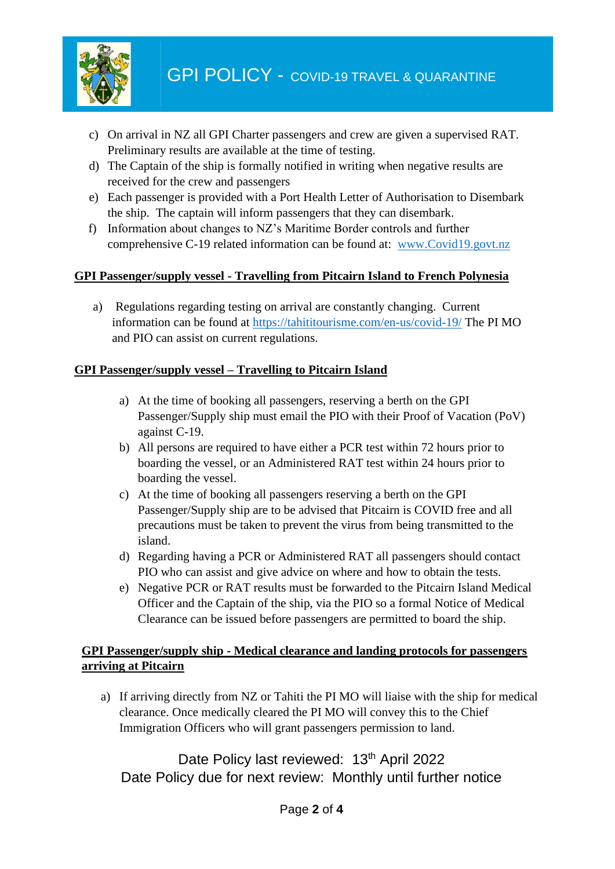

- c) On arrival in NZ all GPI Charter passengers and crew are given a supervised RAT. Preliminary results are available at the time of testing.
- d) The Captain of the ship is formally notified in writing when negative results are received for the crew and passengers
- e) Each passenger is provided with a Port Health Letter of Authorisation to Disembark the ship. The captain will inform passengers that they can disembark.
- f) Information about changes to NZ's Maritime Border controls and further comprehensive C-19 related information can be found at: [www.Covid19.govt.nz](http://www.covid19.govt.nz/)

## **GPI Passenger/supply vessel - Travelling from Pitcairn Island to French Polynesia**

a) Regulations regarding testing on arrival are constantly changing. Current information can be found at<https://tahititourisme.com/en-us/covid-19/> The PI MO and PIO can assist on current regulations.

## **GPI Passenger/supply vessel – Travelling to Pitcairn Island**

- a) At the time of booking all passengers, reserving a berth on the GPI Passenger/Supply ship must email the PIO with their Proof of Vacation (PoV) against C-19.
- b) All persons are required to have either a PCR test within 72 hours prior to boarding the vessel, or an Administered RAT test within 24 hours prior to boarding the vessel.
- c) At the time of booking all passengers reserving a berth on the GPI Passenger/Supply ship are to be advised that Pitcairn is COVID free and all precautions must be taken to prevent the virus from being transmitted to the island.
- d) Regarding having a PCR or Administered RAT all passengers should contact PIO who can assist and give advice on where and how to obtain the tests.
- e) Negative PCR or RAT results must be forwarded to the Pitcairn Island Medical Officer and the Captain of the ship, via the PIO so a formal Notice of Medical Clearance can be issued before passengers are permitted to board the ship.

## **GPI Passenger/supply ship - Medical clearance and landing protocols for passengers arriving at Pitcairn**

a) If arriving directly from NZ or Tahiti the PI MO will liaise with the ship for medical clearance. Once medically cleared the PI MO will convey this to the Chief Immigration Officers who will grant passengers permission to land.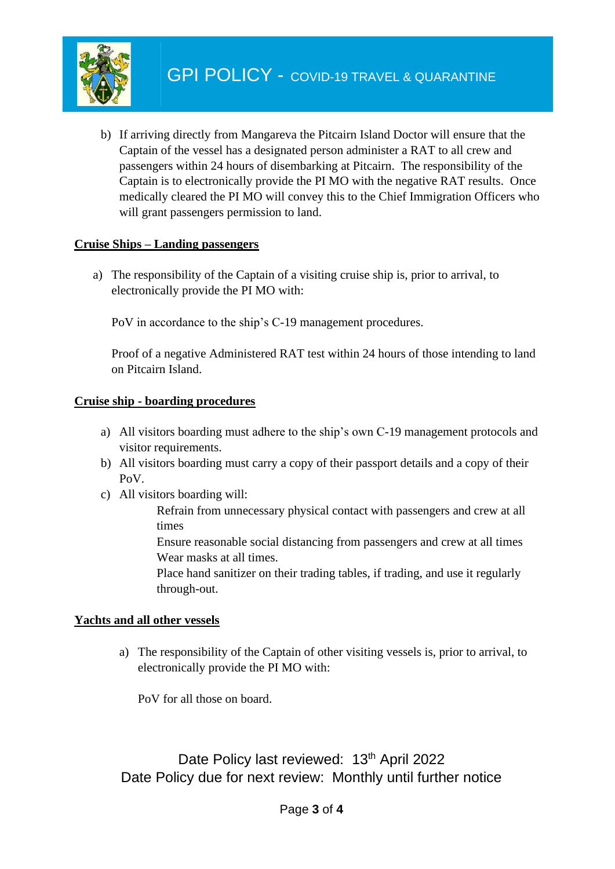

b) If arriving directly from Mangareva the Pitcairn Island Doctor will ensure that the Captain of the vessel has a designated person administer a RAT to all crew and passengers within 24 hours of disembarking at Pitcairn. The responsibility of the Captain is to electronically provide the PI MO with the negative RAT results. Once medically cleared the PI MO will convey this to the Chief Immigration Officers who will grant passengers permission to land.

## **Cruise Ships – Landing passengers**

a) The responsibility of the Captain of a visiting cruise ship is, prior to arrival, to electronically provide the PI MO with:

PoV in accordance to the ship's C-19 management procedures.

Proof of a negative Administered RAT test within 24 hours of those intending to land on Pitcairn Island.

## **Cruise ship - boarding procedures**

- a) All visitors boarding must adhere to the ship's own C-19 management protocols and visitor requirements.
- b) All visitors boarding must carry a copy of their passport details and a copy of their PoV.
- c) All visitors boarding will:

Refrain from unnecessary physical contact with passengers and crew at all times

Ensure reasonable social distancing from passengers and crew at all times Wear masks at all times.

Place hand sanitizer on their trading tables, if trading, and use it regularly through-out.

# **Yachts and all other vessels**

a) The responsibility of the Captain of other visiting vessels is, prior to arrival, to electronically provide the PI MO with:

PoV for all those on board.